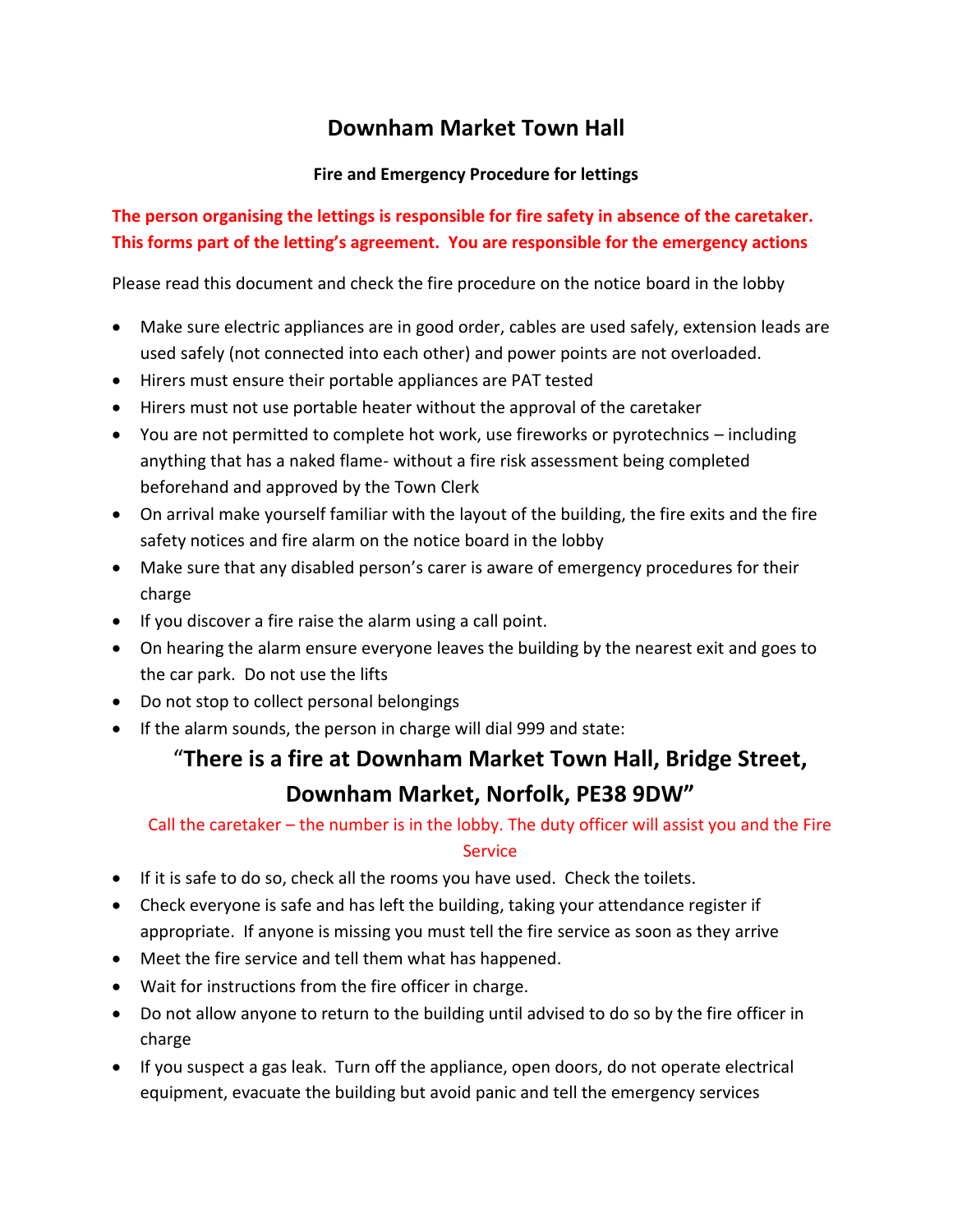## **Downham Market Town Hall**

#### **Fire and Emergency Procedure for lettings**

### **The person organising the lettings is responsible for fire safety in absence of the caretaker. This forms part of the letting's agreement. You are responsible for the emergency actions**

Please read this document and check the fire procedure on the notice board in the lobby

- Make sure electric appliances are in good order, cables are used safely, extension leads are used safely (not connected into each other) and power points are not overloaded.
- Hirers must ensure their portable appliances are PAT tested
- Hirers must not use portable heater without the approval of the caretaker
- You are not permitted to complete hot work, use fireworks or pyrotechnics including anything that has a naked flame- without a fire risk assessment being completed beforehand and approved by the Town Clerk
- On arrival make yourself familiar with the layout of the building, the fire exits and the fire safety notices and fire alarm on the notice board in the lobby
- Make sure that any disabled person's carer is aware of emergency procedures for their charge
- If you discover a fire raise the alarm using a call point.
- On hearing the alarm ensure everyone leaves the building by the nearest exit and goes to the car park. Do not use the lifts
- Do not stop to collect personal belongings
- If the alarm sounds, the person in charge will dial 999 and state:

# "**There is a fire at Downham Market Town Hall, Bridge Street, Downham Market, Norfolk, PE38 9DW"**

### Call the caretaker – the number is in the lobby. The duty officer will assist you and the Fire **Service**

- If it is safe to do so, check all the rooms you have used. Check the toilets.
- Check everyone is safe and has left the building, taking your attendance register if appropriate. If anyone is missing you must tell the fire service as soon as they arrive
- Meet the fire service and tell them what has happened.
- Wait for instructions from the fire officer in charge.
- Do not allow anyone to return to the building until advised to do so by the fire officer in charge
- If you suspect a gas leak. Turn off the appliance, open doors, do not operate electrical equipment, evacuate the building but avoid panic and tell the emergency services